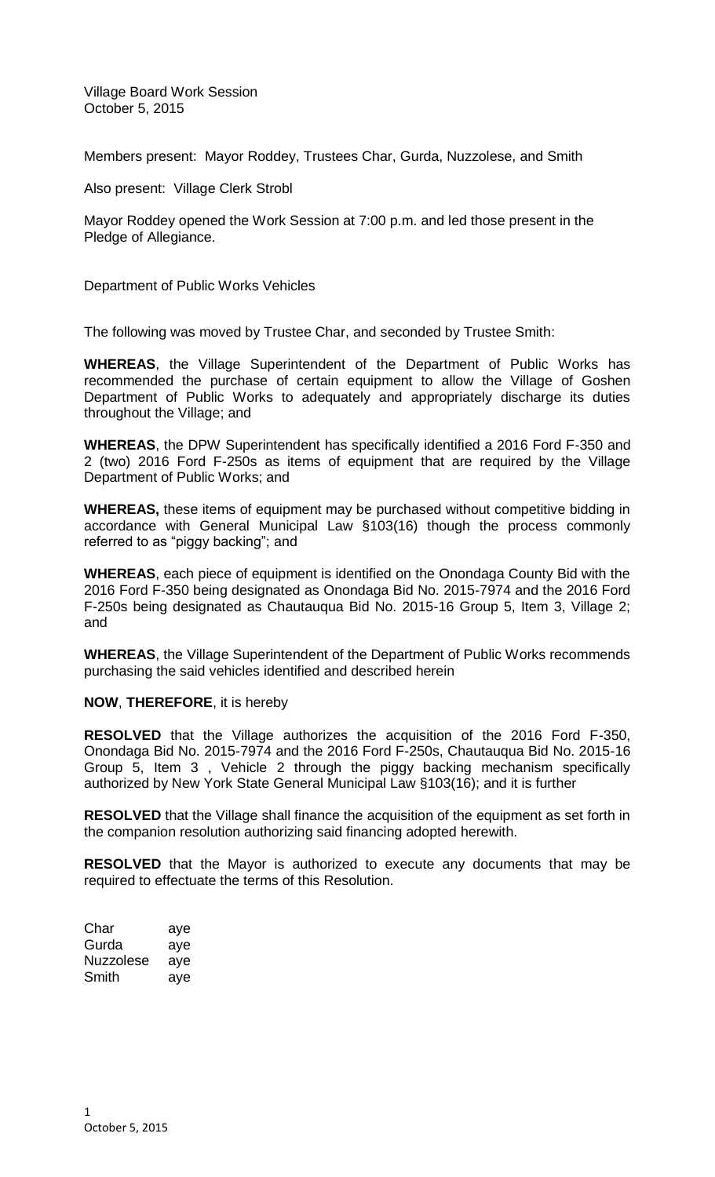Village Board Work Session October 5, 2015

Members present: Mayor Roddey, Trustees Char, Gurda, Nuzzolese, and Smith

Also present: Village Clerk Strobl

Mayor Roddey opened the Work Session at 7:00 p.m. and led those present in the Pledge of Allegiance.

Department of Public Works Vehicles

The following was moved by Trustee Char, and seconded by Trustee Smith:

**WHEREAS**, the Village Superintendent of the Department of Public Works has recommended the purchase of certain equipment to allow the Village of Goshen Department of Public Works to adequately and appropriately discharge its duties throughout the Village; and

**WHEREAS**, the DPW Superintendent has specifically identified a 2016 Ford F-350 and 2 (two) 2016 Ford F-250s as items of equipment that are required by the Village Department of Public Works; and

**WHEREAS,** these items of equipment may be purchased without competitive bidding in accordance with General Municipal Law §103(16) though the process commonly referred to as "piggy backing"; and

**WHEREAS**, each piece of equipment is identified on the Onondaga County Bid with the 2016 Ford F-350 being designated as Onondaga Bid No. 2015-7974 and the 2016 Ford F-250s being designated as Chautauqua Bid No. 2015-16 Group 5, Item 3, Village 2; and

**WHEREAS**, the Village Superintendent of the Department of Public Works recommends purchasing the said vehicles identified and described herein

## **NOW**, **THEREFORE**, it is hereby

**RESOLVED** that the Village authorizes the acquisition of the 2016 Ford F-350, Onondaga Bid No. 2015-7974 and the 2016 Ford F-250s, Chautauqua Bid No. 2015-16 Group 5, Item 3 , Vehicle 2 through the piggy backing mechanism specifically authorized by New York State General Municipal Law §103(16); and it is further

**RESOLVED** that the Village shall finance the acquisition of the equipment as set forth in the companion resolution authorizing said financing adopted herewith.

**RESOLVED** that the Mayor is authorized to execute any documents that may be required to effectuate the terms of this Resolution.

| Char      | aye |
|-----------|-----|
| Gurda     | aye |
| Nuzzolese | aye |
| Smith     | ave |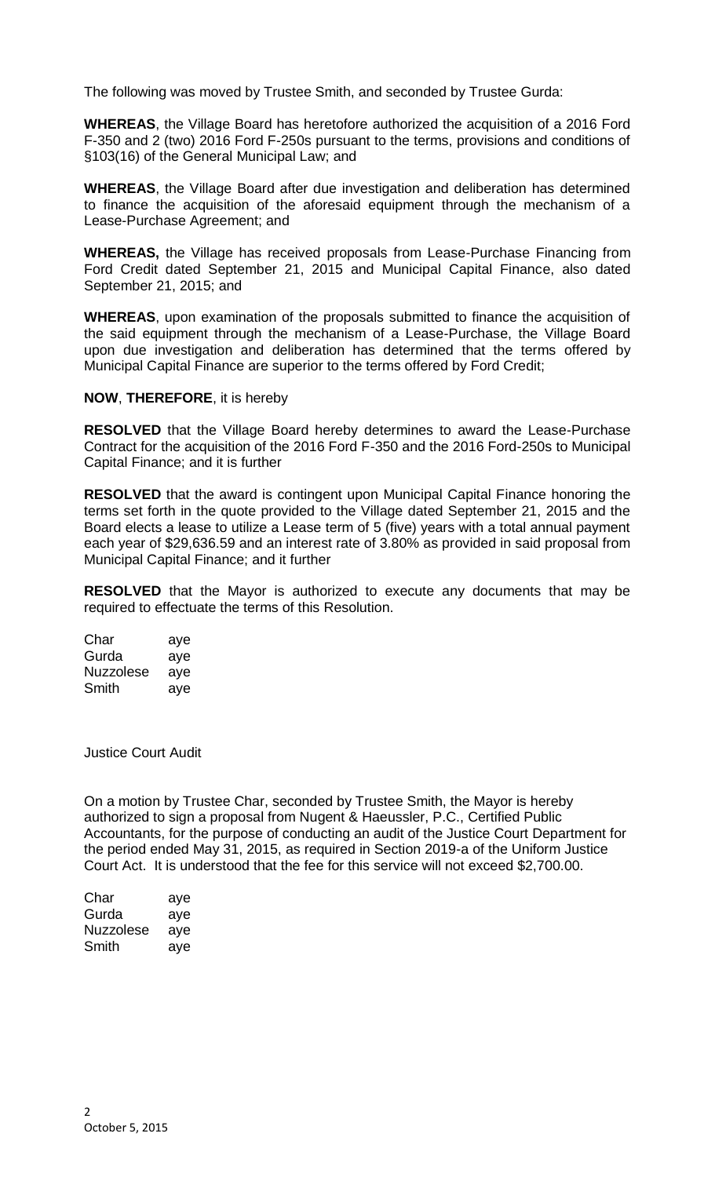The following was moved by Trustee Smith, and seconded by Trustee Gurda:

**WHEREAS**, the Village Board has heretofore authorized the acquisition of a 2016 Ford F-350 and 2 (two) 2016 Ford F-250s pursuant to the terms, provisions and conditions of §103(16) of the General Municipal Law; and

**WHEREAS**, the Village Board after due investigation and deliberation has determined to finance the acquisition of the aforesaid equipment through the mechanism of a Lease-Purchase Agreement; and

**WHEREAS,** the Village has received proposals from Lease-Purchase Financing from Ford Credit dated September 21, 2015 and Municipal Capital Finance, also dated September 21, 2015; and

**WHEREAS**, upon examination of the proposals submitted to finance the acquisition of the said equipment through the mechanism of a Lease-Purchase, the Village Board upon due investigation and deliberation has determined that the terms offered by Municipal Capital Finance are superior to the terms offered by Ford Credit;

## **NOW**, **THEREFORE**, it is hereby

**RESOLVED** that the Village Board hereby determines to award the Lease-Purchase Contract for the acquisition of the 2016 Ford F-350 and the 2016 Ford-250s to Municipal Capital Finance; and it is further

**RESOLVED** that the award is contingent upon Municipal Capital Finance honoring the terms set forth in the quote provided to the Village dated September 21, 2015 and the Board elects a lease to utilize a Lease term of 5 (five) years with a total annual payment each year of \$29,636.59 and an interest rate of 3.80% as provided in said proposal from Municipal Capital Finance; and it further

**RESOLVED** that the Mayor is authorized to execute any documents that may be required to effectuate the terms of this Resolution.

| Char      | aye |
|-----------|-----|
| Gurda     | aye |
| Nuzzolese | aye |
| Smith     | ave |

Justice Court Audit

On a motion by Trustee Char, seconded by Trustee Smith, the Mayor is hereby authorized to sign a proposal from Nugent & Haeussler, P.C., Certified Public Accountants, for the purpose of conducting an audit of the Justice Court Department for the period ended May 31, 2015, as required in Section 2019-a of the Uniform Justice Court Act. It is understood that the fee for this service will not exceed \$2,700.00.

| Char      | aye |
|-----------|-----|
| Gurda     | aye |
| Nuzzolese | aye |
| Smith     | aye |